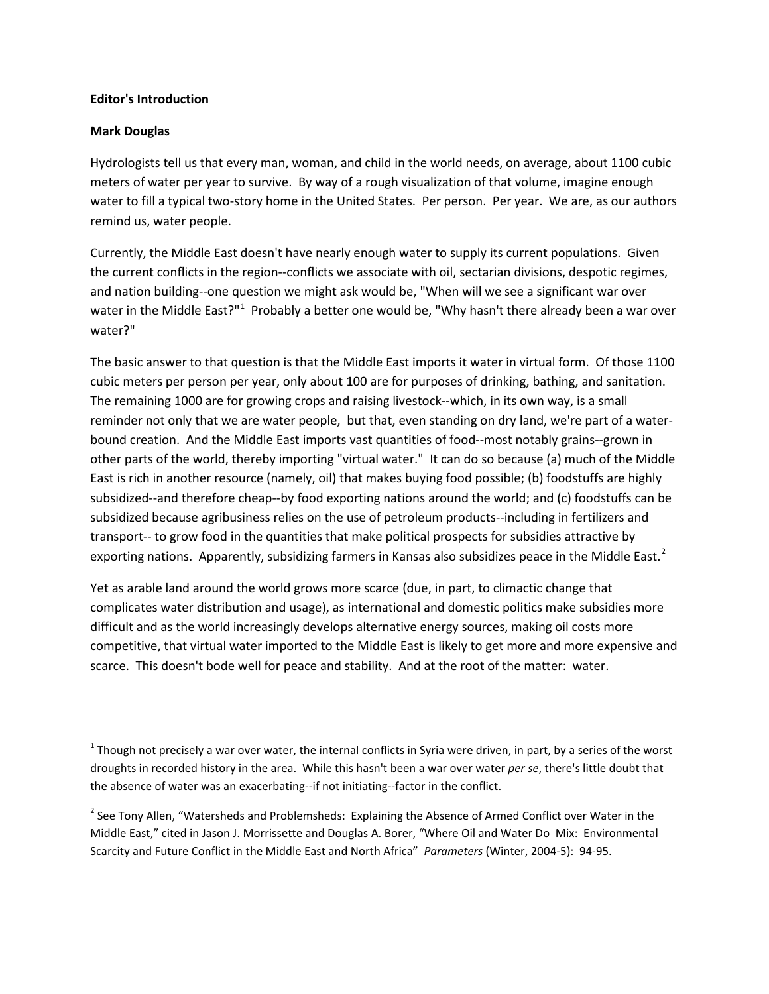## **Editor's Introduction**

## **Mark Douglas**

Hydrologists tell us that every man, woman, and child in the world needs, on average, about 1100 cubic meters of water per year to survive. By way of a rough visualization of that volume, imagine enough water to fill a typical two-story home in the United States. Per person. Per year. We are, as our authors remind us, water people.

Currently, the Middle East doesn't have nearly enough water to supply its current populations. Given the current conflicts in the region--conflicts we associate with oil, sectarian divisions, despotic regimes, and nation building--one question we might ask would be, "When will we see a significant war over water in the Middle East?"<sup>[1](#page-0-0)</sup> Probably a better one would be, "Why hasn't there already been a war over water?"

The basic answer to that question is that the Middle East imports it water in virtual form. Of those 1100 cubic meters per person per year, only about 100 are for purposes of drinking, bathing, and sanitation. The remaining 1000 are for growing crops and raising livestock--which, in its own way, is a small reminder not only that we are water people, but that, even standing on dry land, we're part of a waterbound creation. And the Middle East imports vast quantities of food--most notably grains--grown in other parts of the world, thereby importing "virtual water." It can do so because (a) much of the Middle East is rich in another resource (namely, oil) that makes buying food possible; (b) foodstuffs are highly subsidized--and therefore cheap--by food exporting nations around the world; and (c) foodstuffs can be subsidized because agribusiness relies on the use of petroleum products--including in fertilizers and transport-- to grow food in the quantities that make political prospects for subsidies attractive by exporting nations. Apparently, subsidizing farmers in Kansas also subsidizes peace in the Middle East.<sup>[2](#page-0-1)</sup>

Yet as arable land around the world grows more scarce (due, in part, to climactic change that complicates water distribution and usage), as international and domestic politics make subsidies more difficult and as the world increasingly develops alternative energy sources, making oil costs more competitive, that virtual water imported to the Middle East is likely to get more and more expensive and scarce. This doesn't bode well for peace and stability. And at the root of the matter: water.

<span id="page-0-0"></span> $1$  Though not precisely a war over water, the internal conflicts in Syria were driven, in part, by a series of the worst droughts in recorded history in the area. While this hasn't been a war over water *per se*, there's little doubt that the absence of water was an exacerbating--if not initiating--factor in the conflict.

<span id="page-0-1"></span><sup>&</sup>lt;sup>2</sup> See Tony Allen, "Watersheds and Problemsheds: Explaining the Absence of Armed Conflict over Water in the Middle East," cited in Jason J. Morrissette and Douglas A. Borer, "Where Oil and Water Do Mix: Environmental Scarcity and Future Conflict in the Middle East and North Africa" *Parameters* (Winter, 2004-5): 94-95.